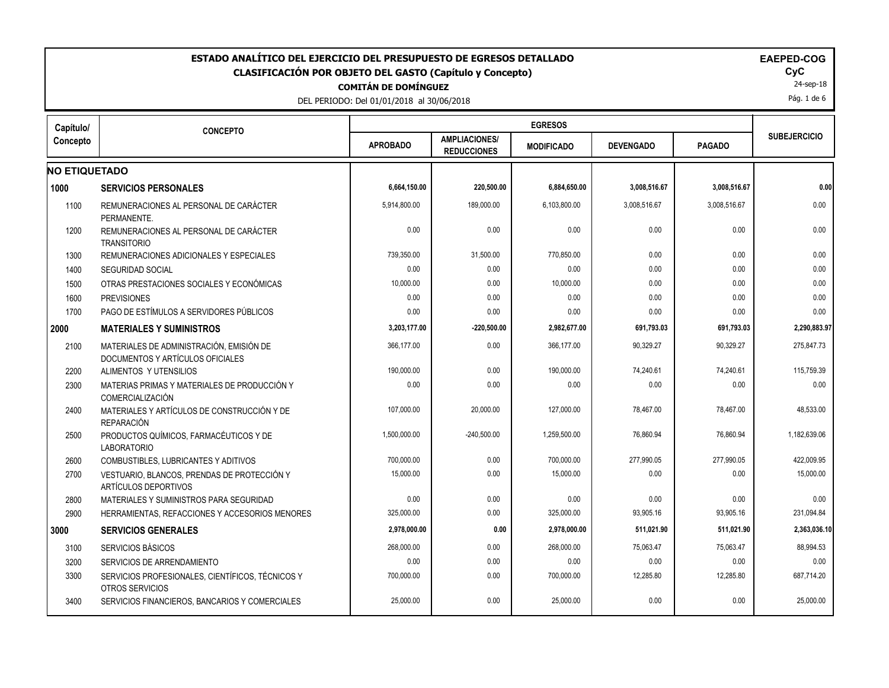| ESTADO ANALÍTICO DEL EJERCICIO DEL PRESUPUESTO DE EGRESOS DETALLADO<br><b>EAEPED-COG</b><br>CLASIFICACIÓN POR OBJETO DEL GASTO (Capítulo y Concepto)<br><b>COMITÁN DE DOMÍNGUEZ</b><br>DEL PERIODO: Del 01/01/2018 al 30/06/2018 |                                                                              |                 |                                            |                   |                  |               |                     |  |  |
|----------------------------------------------------------------------------------------------------------------------------------------------------------------------------------------------------------------------------------|------------------------------------------------------------------------------|-----------------|--------------------------------------------|-------------------|------------------|---------------|---------------------|--|--|
| Capítulo/                                                                                                                                                                                                                        | <b>CONCEPTO</b>                                                              |                 |                                            | <b>EGRESOS</b>    |                  |               |                     |  |  |
| Concepto                                                                                                                                                                                                                         |                                                                              | <b>APROBADO</b> | <b>AMPLIACIONES/</b><br><b>REDUCCIONES</b> | <b>MODIFICADO</b> | <b>DEVENGADO</b> | <b>PAGADO</b> | <b>SUBEJERCICIO</b> |  |  |
| <b>NO ETIQUETADO</b>                                                                                                                                                                                                             |                                                                              |                 |                                            |                   |                  |               |                     |  |  |
| 1000                                                                                                                                                                                                                             | <b>SERVICIOS PERSONALES</b>                                                  | 6,664,150.00    | 220,500.00                                 | 6,884,650.00      | 3,008,516.67     | 3,008,516.67  | 0.00                |  |  |
| 1100                                                                                                                                                                                                                             | REMUNERACIONES AL PERSONAL DE CARÁCTER<br>PERMANENTE.                        | 5,914,800.00    | 189,000.00                                 | 6,103,800.00      | 3,008,516.67     | 3,008,516.67  | 0.00                |  |  |
| 1200                                                                                                                                                                                                                             | REMUNERACIONES AL PERSONAL DE CARÁCTER<br><b>TRANSITORIO</b>                 | 0.00            | 0.00                                       | 0.00              | 0.00             | 0.00          | 0.00                |  |  |
| 1300                                                                                                                                                                                                                             | REMUNERACIONES ADICIONALES Y ESPECIALES                                      | 739,350.00      | 31,500.00                                  | 770,850.00        | 0.00             | 0.00          | 0.00                |  |  |
| 1400                                                                                                                                                                                                                             | <b>SEGURIDAD SOCIAL</b>                                                      | 0.00            | 0.00                                       | 0.00              | 0.00             | 0.00          | 0.00                |  |  |
| 1500                                                                                                                                                                                                                             | OTRAS PRESTACIONES SOCIALES Y ECONÓMICAS                                     | 10,000.00       | 0.00                                       | 10,000.00         | 0.00             | 0.00          | 0.00                |  |  |
| 1600                                                                                                                                                                                                                             | <b>PREVISIONES</b>                                                           | 0.00            | 0.00                                       | 0.00              | 0.00             | 0.00          | 0.00                |  |  |
| 1700                                                                                                                                                                                                                             | PAGO DE ESTÍMULOS A SERVIDORES PÚBLICOS                                      | 0.00            | 0.00                                       | 0.00              | 0.00             | 0.00          | 0.00                |  |  |
|                                                                                                                                                                                                                                  | <b>MATERIALES Y SUMINISTROS</b>                                              | 3,203,177.00    | $-220,500.00$                              | 2,982,677.00      | 691,793.03       | 691,793.03    | 2,290,883.97        |  |  |
| 2100                                                                                                                                                                                                                             | MATERIALES DE ADMINISTRACIÓN, EMISIÓN DE<br>DOCUMENTOS Y ARTÍCULOS OFICIALES | 366,177.00      | 0.00                                       | 366,177.00        | 90,329.27        | 90,329.27     | 275,847.73          |  |  |
| 2200                                                                                                                                                                                                                             | ALIMENTOS Y UTENSILIOS                                                       | 190,000.00      | 0.00                                       | 190,000.00        | 74,240.61        | 74,240.61     | 115,759.39          |  |  |
|                                                                                                                                                                                                                                  | MATERIAS PRIMAS Y MATERIALES DE PRODUCCIÓN Y<br>COMERCIALIZACIÓN             | 0.00            | 0.00                                       | 0.00              | 0.00             | 0.00          | 0.00                |  |  |
| 2400                                                                                                                                                                                                                             | MATERIALES Y ARTÍCULOS DE CONSTRUCCIÓN Y DE<br><b>REPARACIÓN</b>             | 107,000.00      | 20,000.00                                  | 127,000.00        | 78,467.00        | 78,467.00     | 48,533.00           |  |  |
| 2500                                                                                                                                                                                                                             | PRODUCTOS QUÍMICOS, FARMACÉUTICOS Y DE<br><b>LABORATORIO</b>                 | 1,500,000.00    | $-240,500.00$                              | 1,259,500.00      | 76,860.94        | 76,860.94     | 1,182,639.06        |  |  |
| 2600                                                                                                                                                                                                                             | COMBUSTIBLES, LUBRICANTES Y ADITIVOS                                         | 700,000.00      | 0.00                                       | 700,000.00        | 277,990.05       | 277,990.05    | 422,009.95          |  |  |
| 2700                                                                                                                                                                                                                             | VESTUARIO, BLANCOS, PRENDAS DE PROTECCIÓN Y<br>ARTÍCULOS DEPORTIVOS          | 15,000.00       | 0.00                                       | 15,000.00         | 0.00             | 0.00          | 15,000.00           |  |  |
| 2800                                                                                                                                                                                                                             | MATERIALES Y SUMINISTROS PARA SEGURIDAD                                      | 0.00            | 0.00                                       | 0.00              | 0.00             | 0.00          | 0.00                |  |  |
| 2900                                                                                                                                                                                                                             | HERRAMIENTAS, REFACCIONES Y ACCESORIOS MENORES                               | 325,000.00      | 0.00                                       | 325,000.00        | 93,905.16        | 93,905.16     | 231,094.84          |  |  |
|                                                                                                                                                                                                                                  | <b>SERVICIOS GENERALES</b>                                                   | 2,978,000.00    | 0.00                                       | 2,978,000.00      | 511,021.90       | 511,021.90    | 2,363,036.10        |  |  |
| 3100                                                                                                                                                                                                                             | SERVICIOS BÁSICOS                                                            | 268,000.00      | 0.00                                       | 268,000.00        | 75,063.47        | 75,063.47     | 88,994.53           |  |  |
| 3200                                                                                                                                                                                                                             | SERVICIOS DE ARRENDAMIENTO                                                   | 0.00            | 0.00                                       | 0.00              | 0.00             | 0.00          | 0.00                |  |  |
| 3300                                                                                                                                                                                                                             | SERVICIOS PROFESIONALES, CIENTÍFICOS, TÉCNICOS Y<br>OTROS SERVICIOS          | 700,000.00      | 0.00                                       | 700,000.00        | 12,285.80        | 12,285.80     | 687,714.20          |  |  |
| 3400                                                                                                                                                                                                                             | SERVICIOS FINANCIEROS, BANCARIOS Y COMERCIALES                               | 25,000.00       | 0.00                                       | 25,000.00         | 0.00             | 0.00          | 25,000.00           |  |  |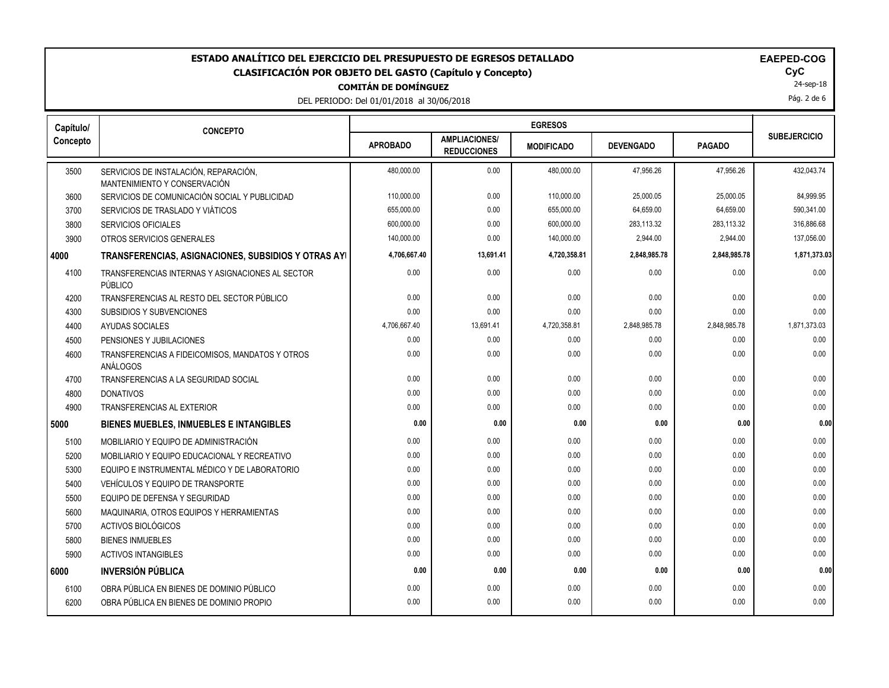# **COMITÁN DE DOMÍNGUEZ** ESTADO ANALÍTICO DEL EJERCICIO DEL PRESUPUESTO DE EGRESOS DETALLADO<br>CLASIFICACIÓN POR OBJETO DEL GASTO (Capítulo y Concepto) **EXACIGADO** COGC **CLASIFICACIÓN POR OBJETO DEL GASTO (Capítulo y Concepto) CyC**

DEL PERIODO: Del 01/01/2018 al 30/06/2018

|  |  | <b>EAEPED-COG</b> |
|--|--|-------------------|
|  |  |                   |

24-sep-18

Pág. 2 de 6

| Capítulo/ | <b>CONCEPTO</b>                                                       |                 |                                            |                   |                  |               |                     |
|-----------|-----------------------------------------------------------------------|-----------------|--------------------------------------------|-------------------|------------------|---------------|---------------------|
| Concepto  |                                                                       | <b>APROBADO</b> | <b>AMPLIACIONES/</b><br><b>REDUCCIONES</b> | <b>MODIFICADO</b> | <b>DEVENGADO</b> | <b>PAGADO</b> | <b>SUBEJERCICIO</b> |
| 3500      | SERVICIOS DE INSTALACIÓN, REPARACIÓN,<br>MANTENIMIENTO Y CONSERVACIÓN | 480.000.00      | 0.00                                       | 480,000.00        | 47.956.26        | 47.956.26     | 432.043.74          |
| 3600      | SERVICIOS DE COMUNICACIÓN SOCIAL Y PUBLICIDAD                         | 110,000.00      | 0.00                                       | 110,000.00        | 25,000.05        | 25,000.05     | 84,999.95           |
| 3700      | SERVICIOS DE TRASLADO Y VIÁTICOS                                      | 655,000.00      | 0.00                                       | 655,000.00        | 64,659.00        | 64,659.00     | 590,341.00          |
| 3800      | <b>SERVICIOS OFICIALES</b>                                            | 600,000.00      | 0.00                                       | 600,000.00        | 283,113.32       | 283,113.32    | 316,886.68          |
| 3900      | OTROS SERVICIOS GENERALES                                             | 140,000.00      | 0.00                                       | 140,000.00        | 2,944.00         | 2,944.00      | 137,056.00          |
| 4000      | TRANSFERENCIAS, ASIGNACIONES, SUBSIDIOS Y OTRAS AYI                   | 4,706,667.40    | 13,691.41                                  | 4,720,358.81      | 2,848,985.78     | 2,848,985.78  | 1,871,373.03        |
| 4100      | TRANSFERENCIAS INTERNAS Y ASIGNACIONES AL SECTOR<br>PÚBLICO           | 0.00            | 0.00                                       | 0.00              | 0.00             | 0.00          | 0.00                |
| 4200      | TRANSFERENCIAS AL RESTO DEL SECTOR PÚBLICO                            | 0.00            | 0.00                                       | 0.00              | 0.00             | 0.00          | 0.00                |
| 4300      | <b>SUBSIDIOS Y SUBVENCIONES</b>                                       | 0.00            | 0.00                                       | 0.00              | 0.00             | 0.00          | 0.00                |
| 4400      | AYUDAS SOCIALES                                                       | 4,706,667.40    | 13,691.41                                  | 4,720,358.81      | 2,848,985.78     | 2,848,985.78  | 1,871,373.03        |
| 4500      | PENSIONES Y JUBILACIONES                                              | 0.00            | 0.00                                       | 0.00              | 0.00             | 0.00          | 0.00                |
| 4600      | TRANSFERENCIAS A FIDEICOMISOS, MANDATOS Y OTROS<br>ANÁLOGOS           | 0.00            | 0.00                                       | 0.00              | 0.00             | 0.00          | 0.00                |
| 4700      | TRANSFERENCIAS A LA SEGURIDAD SOCIAL                                  | 0.00            | 0.00                                       | 0.00              | 0.00             | 0.00          | 0.00                |
| 4800      | <b>DONATIVOS</b>                                                      | 0.00            | 0.00                                       | 0.00              | 0.00             | 0.00          | 0.00                |
| 4900      | <b>TRANSFERENCIAS AL EXTERIOR</b>                                     | 0.00            | 0.00                                       | 0.00              | 0.00             | 0.00          | 0.00                |
| 5000      | <b>BIENES MUEBLES, INMUEBLES E INTANGIBLES</b>                        | 0.00            | 0.00                                       | 0.00              | 0.00             | 0.00          | 0.00                |
| 5100      | MOBILIARIO Y EQUIPO DE ADMINISTRACIÓN                                 | 0.00            | 0.00                                       | 0.00              | 0.00             | 0.00          | 0.00                |
| 5200      | MOBILIARIO Y EQUIPO EDUCACIONAL Y RECREATIVO                          | 0.00            | 0.00                                       | 0.00              | 0.00             | 0.00          | 0.00                |
| 5300      | EQUIPO E INSTRUMENTAL MÉDICO Y DE LABORATORIO                         | 0.00            | 0.00                                       | 0.00              | 0.00             | 0.00          | 0.00                |
| 5400      | <b>VEHÍCULOS Y EQUIPO DE TRANSPORTE</b>                               | 0.00            | 0.00                                       | 0.00              | 0.00             | 0.00          | 0.00                |
| 5500      | EQUIPO DE DEFENSA Y SEGURIDAD                                         | 0.00            | 0.00                                       | 0.00              | 0.00             | 0.00          | 0.00                |
| 5600      | MAQUINARIA, OTROS EQUIPOS Y HERRAMIENTAS                              | 0.00            | 0.00                                       | 0.00              | 0.00             | 0.00          | 0.00                |
| 5700      | ACTIVOS BIOLÓGICOS                                                    | 0.00            | 0.00                                       | 0.00              | 0.00             | 0.00          | 0.00                |
| 5800      | <b>BIENES INMUEBLES</b>                                               | 0.00            | 0.00                                       | 0.00              | 0.00             | 0.00          | 0.00                |
| 5900      | <b>ACTIVOS INTANGIBLES</b>                                            | 0.00            | 0.00                                       | 0.00              | 0.00             | 0.00          | 0.00                |
| 6000      | <b>INVERSIÓN PÚBLICA</b>                                              | 0.00            | 0.00                                       | 0.00              | 0.00             | 0.00          | 0.00                |
| 6100      | OBRA PÚBLICA EN BIENES DE DOMINIO PÚBLICO                             | 0.00            | 0.00                                       | 0.00              | 0.00             | 0.00          | 0.00                |
| 6200      | OBRA PÚBLICA EN BIENES DE DOMINIO PROPIO                              | 0.00            | 0.00                                       | 0.00              | 0.00             | 0.00          | 0.00                |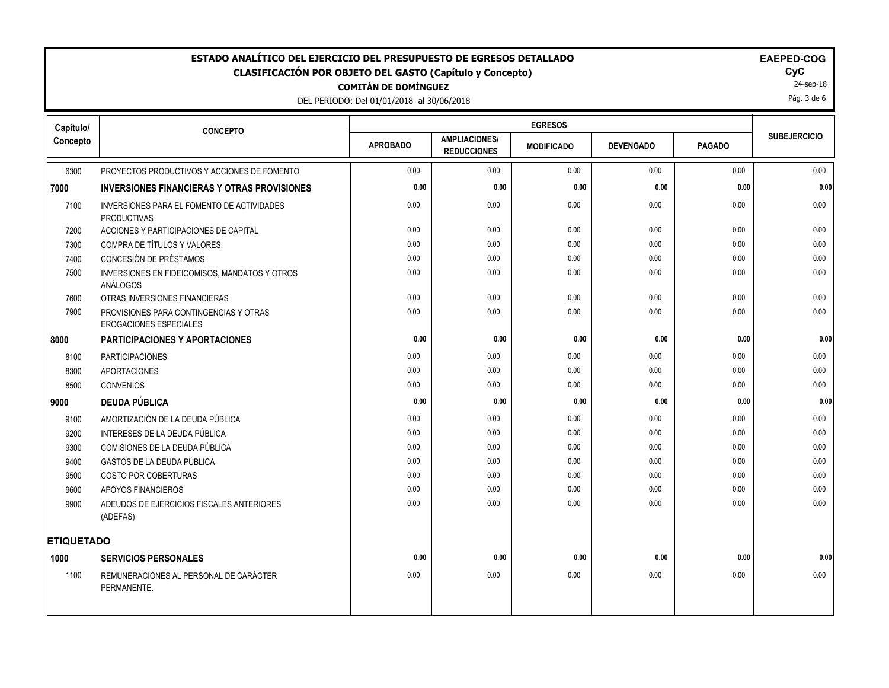# **COMITÁN DE DOMÍNGUEZ ESTADO ANALÍTICO DEL EJERCICIO DEL PRESUPUESTO DE EGRESOS DETALLADO EAEPED-COG CLASIFICACIÓN POR OBJETO DEL GASTO (Capítulo y Concepto) CyC**

DEL PERIODO: Del 01/01/2018 al 30/06/2018

24-sep-18

Pág. 3 de 6

| Capítulo/         | <b>CONCEPTO</b>                                                         |                 | <b>EGRESOS</b>                             |                   |                  |               |                     |  |
|-------------------|-------------------------------------------------------------------------|-----------------|--------------------------------------------|-------------------|------------------|---------------|---------------------|--|
| Concepto          |                                                                         | <b>APROBADO</b> | <b>AMPLIACIONES/</b><br><b>REDUCCIONES</b> | <b>MODIFICADO</b> | <b>DEVENGADO</b> | <b>PAGADO</b> | <b>SUBEJERCICIO</b> |  |
| 6300              | PROYECTOS PRODUCTIVOS Y ACCIONES DE FOMENTO                             | 0.00            | 0.00                                       | 0.00              | 0.00             | 0.00          | 0.00                |  |
| 7000              | <b>INVERSIONES FINANCIERAS Y OTRAS PROVISIONES</b>                      | 0.00            | 0.00                                       | 0.00              | 0.00             | 0.00          | 0.00                |  |
| 7100              | INVERSIONES PARA EL FOMENTO DE ACTIVIDADES<br><b>PRODUCTIVAS</b>        | 0.00            | 0.00                                       | 0.00              | 0.00             | 0.00          | 0.00                |  |
| 7200              | ACCIONES Y PARTICIPACIONES DE CAPITAL                                   | 0.00            | 0.00                                       | 0.00              | 0.00             | 0.00          | 0.00                |  |
| 7300              | COMPRA DE TÍTULOS Y VALORES                                             | 0.00            | 0.00                                       | 0.00              | 0.00             | 0.00          | 0.00                |  |
| 7400              | CONCESIÓN DE PRÉSTAMOS                                                  | 0.00            | 0.00                                       | 0.00              | 0.00             | 0.00          | 0.00                |  |
| 7500              | INVERSIONES EN FIDEICOMISOS, MANDATOS Y OTROS<br>ANÁLOGOS               | 0.00            | 0.00                                       | 0.00              | 0.00             | 0.00          | 0.00                |  |
| 7600              | OTRAS INVERSIONES FINANCIERAS                                           | 0.00            | 0.00                                       | 0.00              | 0.00             | 0.00          | 0.00                |  |
| 7900              | PROVISIONES PARA CONTINGENCIAS Y OTRAS<br><b>EROGACIONES ESPECIALES</b> | 0.00            | 0.00                                       | 0.00              | 0.00             | 0.00          | 0.00                |  |
| 8000              | <b>PARTICIPACIONES Y APORTACIONES</b>                                   | 0.00            | 0.00                                       | 0.00              | 0.00             | 0.00          | 0.00                |  |
| 8100              | <b>PARTICIPACIONES</b>                                                  | 0.00            | 0.00                                       | 0.00              | 0.00             | 0.00          | 0.00                |  |
| 8300              | <b>APORTACIONES</b>                                                     | 0.00            | 0.00                                       | 0.00              | 0.00             | 0.00          | 0.00                |  |
| 8500              | CONVENIOS                                                               | 0.00            | 0.00                                       | 0.00              | 0.00             | 0.00          | 0.00                |  |
| 9000              | <b>DEUDA PÚBLICA</b>                                                    | 0.00            | 0.00                                       | 0.00              | 0.00             | 0.00          | 0.00                |  |
| 9100              | AMORTIZACIÓN DE LA DEUDA PÚBLICA                                        | 0.00            | 0.00                                       | 0.00              | 0.00             | 0.00          | 0.00                |  |
| 9200              | INTERESES DE LA DEUDA PÚBLICA                                           | 0.00            | 0.00                                       | 0.00              | 0.00             | 0.00          | 0.00                |  |
| 9300              | COMISIONES DE LA DEUDA PÚBLICA                                          | 0.00            | 0.00                                       | 0.00              | 0.00             | 0.00          | 0.00                |  |
| 9400              | GASTOS DE LA DEUDA PÚBLICA                                              | 0.00            | 0.00                                       | 0.00              | 0.00             | 0.00          | 0.00                |  |
| 9500              | <b>COSTO POR COBERTURAS</b>                                             | 0.00            | 0.00                                       | 0.00              | 0.00             | 0.00          | 0.00                |  |
| 9600              | APOYOS FINANCIEROS                                                      | 0.00            | 0.00                                       | 0.00              | 0.00             | 0.00          | 0.00                |  |
| 9900              | ADEUDOS DE EJERCICIOS FISCALES ANTERIORES<br>(ADEFAS)                   | 0.00            | 0.00                                       | 0.00              | 0.00             | 0.00          | 0.00                |  |
| <b>ETIQUETADO</b> |                                                                         |                 |                                            |                   |                  |               |                     |  |
| 1000              | <b>SERVICIOS PERSONALES</b>                                             | 0.00            | 0.00                                       | 0.00              | 0.00             | 0.00          | 0.00                |  |
| 1100              | REMUNERACIONES AL PERSONAL DE CARÁCTER<br>PERMANENTE.                   | 0.00            | 0.00                                       | 0.00              | 0.00             | 0.00          | 0.00                |  |
|                   |                                                                         |                 |                                            |                   |                  |               |                     |  |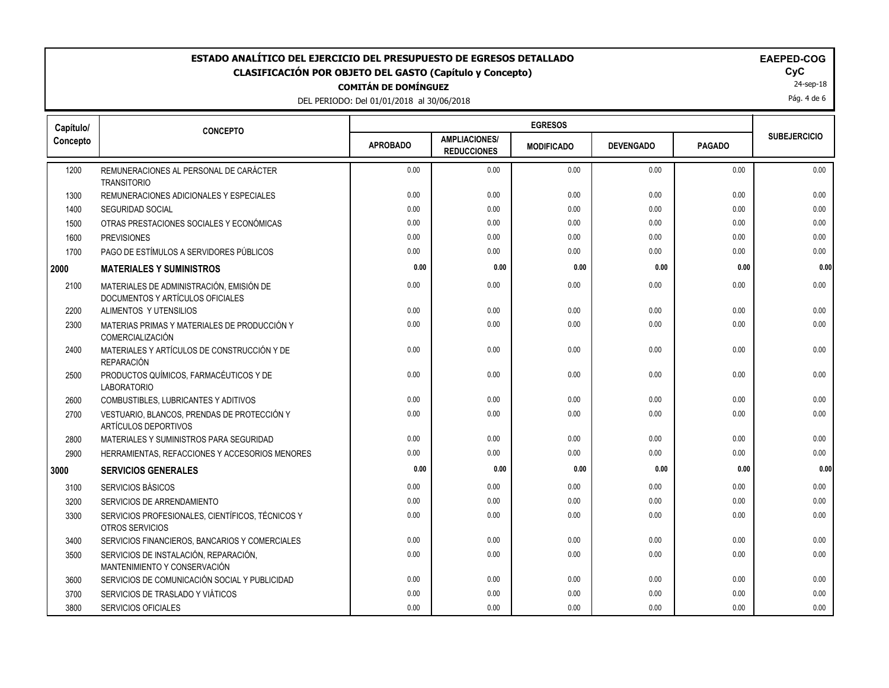# **COMITÁN DE DOMÍNGUEZ** ESTADO ANALÍTICO DEL EJERCICIO DEL PRESUPUESTO DE EGRESOS DETALLADO<br>CLASIFICACIÓN POR OBJETO DEL GASTO (Capítulo y Concepto) **ELAGO**COGO EL GOGO DEL GASTO (Capítulo y Concepto) **CLASIFICACIÓN POR OBJETO DEL GASTO (Capítulo y Concepto) CyC**

DEL PERIODO: Del 01/01/2018 al 30/06/2018

|  |  | <b>EAEPED-COG</b> |
|--|--|-------------------|
|  |  |                   |

24-sep-18

Pág. 4 de 6

| Capítulo/ | <b>CONCEPTO</b>                                                              |                 |                                            |                   |                  |               |                     |
|-----------|------------------------------------------------------------------------------|-----------------|--------------------------------------------|-------------------|------------------|---------------|---------------------|
| Concepto  |                                                                              | <b>APROBADO</b> | <b>AMPLIACIONES/</b><br><b>REDUCCIONES</b> | <b>MODIFICADO</b> | <b>DEVENGADO</b> | <b>PAGADO</b> | <b>SUBEJERCICIO</b> |
| 1200      | REMUNERACIONES AL PERSONAL DE CARÁCTER<br><b>TRANSITORIO</b>                 | 0.00            | 0.00                                       | 0.00              | 0.00             | 0.00          | 0.00                |
| 1300      | REMUNERACIONES ADICIONALES Y ESPECIALES                                      | 0.00            | 0.00                                       | 0.00              | 0.00             | 0.00          | 0.00                |
| 1400      | <b>SEGURIDAD SOCIAL</b>                                                      | 0.00            | 0.00                                       | 0.00              | 0.00             | 0.00          | 0.00                |
| 1500      | OTRAS PRESTACIONES SOCIALES Y ECONÓMICAS                                     | 0.00            | 0.00                                       | 0.00              | 0.00             | 0.00          | 0.00                |
| 1600      | <b>PREVISIONES</b>                                                           | 0.00            | 0.00                                       | 0.00              | 0.00             | 0.00          | 0.00                |
| 1700      | PAGO DE ESTÍMULOS A SERVIDORES PÚBLICOS                                      | 0.00            | 0.00                                       | 0.00              | 0.00             | 0.00          | 0.00                |
| 2000      | <b>MATERIALES Y SUMINISTROS</b>                                              | 0.00            | 0.00                                       | 0.00              | 0.00             | 0.00          | 0.00                |
| 2100      | MATERIALES DE ADMINISTRACIÓN, EMISIÓN DE<br>DOCUMENTOS Y ARTÍCULOS OFICIALES | 0.00            | 0.00                                       | 0.00              | 0.00             | 0.00          | 0.00                |
| 2200      | ALIMENTOS Y UTENSILIOS                                                       | 0.00            | 0.00                                       | 0.00              | 0.00             | 0.00          | 0.00                |
| 2300      | MATERIAS PRIMAS Y MATERIALES DE PRODUCCIÓN Y<br>COMERCIALIZACIÓN             | 0.00            | 0.00                                       | 0.00              | 0.00             | 0.00          | 0.00                |
| 2400      | MATERIALES Y ARTÍCULOS DE CONSTRUCCIÓN Y DE<br>REPARACIÓN                    | 0.00            | 0.00                                       | 0.00              | 0.00             | 0.00          | 0.00                |
| 2500      | PRODUCTOS QUÍMICOS, FARMACÉUTICOS Y DE<br><b>LABORATORIO</b>                 | 0.00            | 0.00                                       | 0.00              | 0.00             | 0.00          | 0.00                |
| 2600      | COMBUSTIBLES, LUBRICANTES Y ADITIVOS                                         | 0.00            | 0.00                                       | 0.00              | 0.00             | 0.00          | 0.00                |
| 2700      | VESTUARIO, BLANCOS, PRENDAS DE PROTECCIÓN Y<br>ARTÍCULOS DEPORTIVOS          | 0.00            | 0.00                                       | 0.00              | 0.00             | 0.00          | 0.00                |
| 2800      | MATERIALES Y SUMINISTROS PARA SEGURIDAD                                      | 0.00            | 0.00                                       | 0.00              | 0.00             | 0.00          | 0.00                |
| 2900      | HERRAMIENTAS, REFACCIONES Y ACCESORIOS MENORES                               | 0.00            | 0.00                                       | 0.00              | 0.00             | 0.00          | 0.00                |
| 3000      | <b>SERVICIOS GENERALES</b>                                                   | 0.00            | 0.00                                       | 0.00              | 0.00             | 0.00          | 0.00                |
| 3100      | SERVICIOS BÁSICOS                                                            | 0.00            | 0.00                                       | 0.00              | 0.00             | 0.00          | 0.00                |
| 3200      | SERVICIOS DE ARRENDAMIENTO                                                   | 0.00            | 0.00                                       | 0.00              | 0.00             | 0.00          | 0.00                |
| 3300      | SERVICIOS PROFESIONALES, CIENTÍFICOS, TÉCNICOS Y<br>OTROS SERVICIOS          | 0.00            | 0.00                                       | 0.00              | 0.00             | 0.00          | 0.00                |
| 3400      | SERVICIOS FINANCIEROS, BANCARIOS Y COMERCIALES                               | 0.00            | 0.00                                       | 0.00              | 0.00             | 0.00          | 0.00                |
| 3500      | SERVICIOS DE INSTALACIÓN, REPARACIÓN,<br>MANTENIMIENTO Y CONSERVACIÓN        | 0.00            | 0.00                                       | 0.00              | 0.00             | 0.00          | 0.00                |
| 3600      | SERVICIOS DE COMUNICACIÓN SOCIAL Y PUBLICIDAD                                | 0.00            | 0.00                                       | 0.00              | 0.00             | 0.00          | 0.00                |
| 3700      | SERVICIOS DE TRASLADO Y VIÁTICOS                                             | 0.00            | 0.00                                       | 0.00              | 0.00             | 0.00          | 0.00                |
| 3800      | <b>SERVICIOS OFICIALES</b>                                                   | 0.00            | 0.00                                       | 0.00              | 0.00             | 0.00          | 0.00                |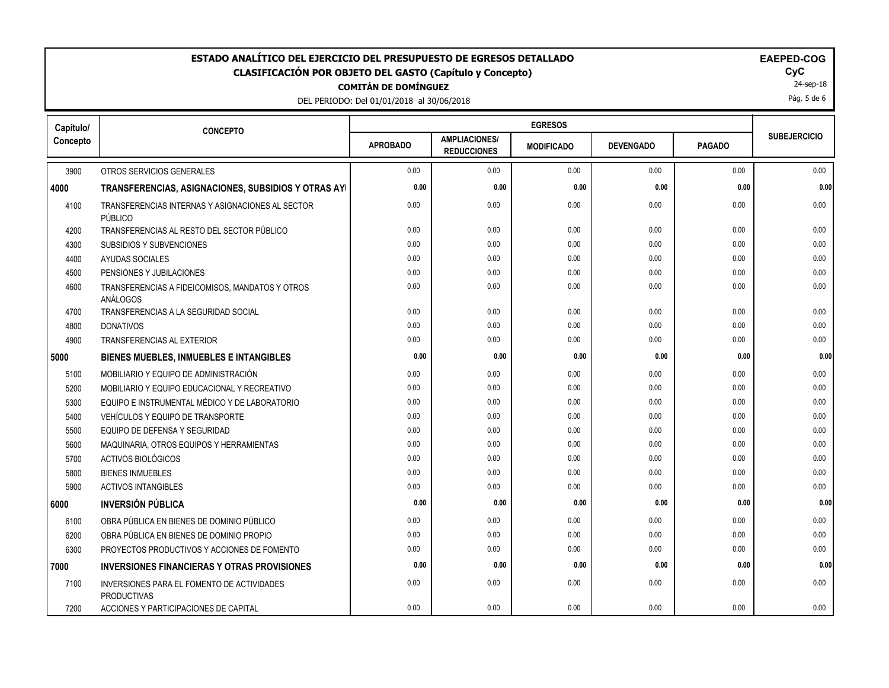### **COMITÁN DE DOMÍNGUEZ** ESTADO ANALÍTICO DEL EJERCICIO DEL PRESUPUESTO DE EGRESOS DETALLADO<br>CLASIFICACIÓN POR OBJETO DEL GASTO (Capítulo y Concepto) **ELASIFICACIÓN POR OBJETO DEL GASTO (Capítulo** y Concepto) **CLASIFICACIÓN POR OBJETO DEL GASTO (Capítulo y Concepto) CyC**

DEL PERIODO: Del 01/01/2018 al 30/06/2018

| <b>EAEPED-COG</b> |  |  |  |
|-------------------|--|--|--|
|                   |  |  |  |

24-sep-18

Pág. 5 de 6

| Capítulo/ | <b>CONCEPTO</b>                                                  |                 |                                            |                   |                  |               |                     |
|-----------|------------------------------------------------------------------|-----------------|--------------------------------------------|-------------------|------------------|---------------|---------------------|
| Concepto  |                                                                  | <b>APROBADO</b> | <b>AMPLIACIONES/</b><br><b>REDUCCIONES</b> | <b>MODIFICADO</b> | <b>DEVENGADO</b> | <b>PAGADO</b> | <b>SUBEJERCICIO</b> |
| 3900      | OTROS SERVICIOS GENERALES                                        | 0.00            | 0.00                                       | 0.00              | 0.00             | 0.00          | 0.00                |
| 4000      | TRANSFERENCIAS, ASIGNACIONES, SUBSIDIOS Y OTRAS AYI              | 0.00            | 0.00                                       | 0.00              | 0.00             | 0.00          | 0.00                |
| 4100      | TRANSFERENCIAS INTERNAS Y ASIGNACIONES AL SECTOR<br>PÚBLICO      | 0.00            | 0.00                                       | 0.00              | 0.00             | 0.00          | 0.00                |
| 4200      | TRANSFERENCIAS AL RESTO DEL SECTOR PÚBLICO                       | 0.00            | 0.00                                       | 0.00              | 0.00             | 0.00          | 0.00                |
| 4300      | SUBSIDIOS Y SUBVENCIONES                                         | 0.00            | 0.00                                       | 0.00              | 0.00             | 0.00          | 0.00                |
| 4400      | AYUDAS SOCIALES                                                  | 0.00            | 0.00                                       | 0.00              | 0.00             | 0.00          | 0.00                |
| 4500      | PENSIONES Y JUBILACIONES                                         | 0.00            | 0.00                                       | 0.00              | 0.00             | 0.00          | 0.00                |
| 4600      | TRANSFERENCIAS A FIDEICOMISOS, MANDATOS Y OTROS<br>ANÁLOGOS      | 0.00            | 0.00                                       | 0.00              | 0.00             | 0.00          | 0.00                |
| 4700      | TRANSFERENCIAS A LA SEGURIDAD SOCIAL                             | 0.00            | 0.00                                       | 0.00              | 0.00             | 0.00          | 0.00                |
| 4800      | <b>DONATIVOS</b>                                                 | 0.00            | 0.00                                       | 0.00              | 0.00             | 0.00          | 0.00                |
| 4900      | <b>TRANSFERENCIAS AL EXTERIOR</b>                                | 0.00            | 0.00                                       | 0.00              | 0.00             | 0.00          | 0.00                |
| 5000      | BIENES MUEBLES, INMUEBLES E INTANGIBLES                          | 0.00            | 0.00                                       | 0.00              | 0.00             | 0.00          | 0.00                |
| 5100      | MOBILIARIO Y EQUIPO DE ADMINISTRACIÓN                            | 0.00            | 0.00                                       | 0.00              | 0.00             | 0.00          | 0.00                |
| 5200      | MOBILIARIO Y EQUIPO EDUCACIONAL Y RECREATIVO                     | 0.00            | 0.00                                       | 0.00              | 0.00             | 0.00          | 0.00                |
| 5300      | EQUIPO E INSTRUMENTAL MÉDICO Y DE LABORATORIO                    | 0.00            | 0.00                                       | 0.00              | 0.00             | 0.00          | 0.00                |
| 5400      | VEHÍCULOS Y EQUIPO DE TRANSPORTE                                 | 0.00            | 0.00                                       | 0.00              | 0.00             | 0.00          | 0.00                |
| 5500      | EQUIPO DE DEFENSA Y SEGURIDAD                                    | 0.00            | 0.00                                       | 0.00              | 0.00             | 0.00          | 0.00                |
| 5600      | MAQUINARIA, OTROS EQUIPOS Y HERRAMIENTAS                         | 0.00            | 0.00                                       | 0.00              | 0.00             | 0.00          | 0.00                |
| 5700      | <b>ACTIVOS BIOLÓGICOS</b>                                        | 0.00            | 0.00                                       | 0.00              | 0.00             | 0.00          | 0.00                |
| 5800      | <b>BIENES INMUEBLES</b>                                          | 0.00            | 0.00                                       | 0.00              | 0.00             | 0.00          | 0.00                |
| 5900      | <b>ACTIVOS INTANGIBLES</b>                                       | 0.00            | 0.00                                       | 0.00              | 0.00             | 0.00          | 0.00                |
| 6000      | <b>INVERSIÓN PÚBLICA</b>                                         | 0.00            | 0.00                                       | 0.00              | 0.00             | 0.00          | 0.00                |
| 6100      | OBRA PÚBLICA EN BIENES DE DOMINIO PÚBLICO                        | 0.00            | 0.00                                       | 0.00              | 0.00             | 0.00          | 0.00                |
| 6200      | OBRA PÚBLICA EN BIENES DE DOMINIO PROPIO                         | 0.00            | 0.00                                       | 0.00              | 0.00             | 0.00          | 0.00                |
| 6300      | PROYECTOS PRODUCTIVOS Y ACCIONES DE FOMENTO                      | 0.00            | 0.00                                       | 0.00              | 0.00             | 0.00          | 0.00                |
| 7000      | <b>INVERSIONES FINANCIERAS Y OTRAS PROVISIONES</b>               | 0.00            | 0.00                                       | 0.00              | 0.00             | 0.00          | 0.00                |
| 7100      | INVERSIONES PARA EL FOMENTO DE ACTIVIDADES<br><b>PRODUCTIVAS</b> | 0.00            | 0.00                                       | 0.00              | 0.00             | 0.00          | 0.00                |
| 7200      | ACCIONES Y PARTICIPACIONES DE CAPITAL                            | 0.00            | 0.00                                       | 0.00              | 0.00             | 0.00          | 0.00                |